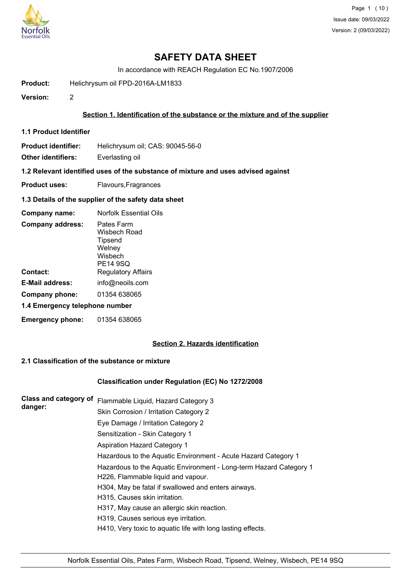

In accordance with REACH Regulation EC No.1907/2006

**Product:** Helichrysum oil FPD-2016A-LM1833

**Version:** 2

### **Section 1. Identification of the substance or the mixture and of the supplier**

**1.1 Product Identifier**

**Product identifier:** Helichrysum oil; CAS: 90045-56-0

**Other identifiers:** Everlasting oil

**1.2 Relevant identified uses of the substance of mixture and uses advised against**

**Product uses:** Flavours, Fragrances

**1.3 Details of the supplier of the safety data sheet**

| Company name:                  | Norfolk Essential Oils                                                 |  |
|--------------------------------|------------------------------------------------------------------------|--|
| <b>Company address:</b>        | Pates Farm<br>Wisbech Road<br>Tipsend<br>Welney<br>Wisbech<br>PE14 9SQ |  |
| Contact:                       | <b>Regulatory Affairs</b>                                              |  |
| E-Mail address:                | info@neoils.com                                                        |  |
| Company phone:                 | 01354 638065                                                           |  |
| 1.4 Emergency telephone number |                                                                        |  |
| <b>Emergency phone:</b>        | 01354 638065                                                           |  |

## **Section 2. Hazards identification**

### **2.1 Classification of the substance or mixture**

### **Classification under Regulation (EC) No 1272/2008**

| Class and category of | Flammable Liquid, Hazard Category 3                                |
|-----------------------|--------------------------------------------------------------------|
| danger:               | Skin Corrosion / Irritation Category 2                             |
|                       | Eye Damage / Irritation Category 2                                 |
|                       | Sensitization - Skin Category 1                                    |
|                       | <b>Aspiration Hazard Category 1</b>                                |
|                       | Hazardous to the Aquatic Environment - Acute Hazard Category 1     |
|                       | Hazardous to the Aquatic Environment - Long-term Hazard Category 1 |
|                       | H226, Flammable liquid and vapour.                                 |
|                       | H304, May be fatal if swallowed and enters airways.                |
|                       | H315, Causes skin irritation.                                      |
|                       | H317, May cause an allergic skin reaction.                         |
|                       | H319, Causes serious eye irritation.                               |
|                       | H410, Very toxic to aquatic life with long lasting effects.        |
|                       |                                                                    |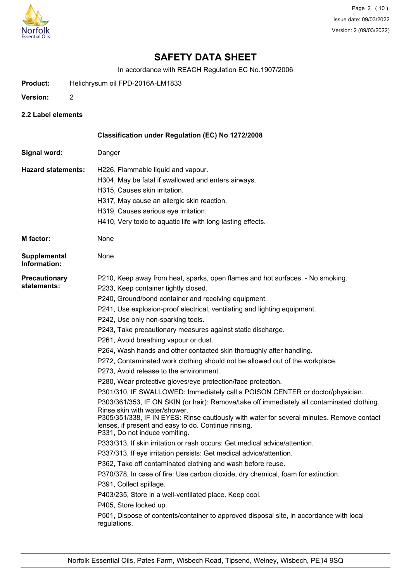

In accordance with REACH Regulation EC No.1907/2006

- **Product:** Helichrysum oil FPD-2016A-LM1833
- **Version:** 2
- **2.2 Label elements**

|                                     | Classification under Regulation (EC) No 1272/2008                                                                                                                                                                                                                                                                                                                                                                                                                                                                                                                                                                                                                                                                                                                                                                                                                                                                                                                                                                                                                                                                                                                                                                                                                                                                                                                                                                                                                                                                                                                                                                     |
|-------------------------------------|-----------------------------------------------------------------------------------------------------------------------------------------------------------------------------------------------------------------------------------------------------------------------------------------------------------------------------------------------------------------------------------------------------------------------------------------------------------------------------------------------------------------------------------------------------------------------------------------------------------------------------------------------------------------------------------------------------------------------------------------------------------------------------------------------------------------------------------------------------------------------------------------------------------------------------------------------------------------------------------------------------------------------------------------------------------------------------------------------------------------------------------------------------------------------------------------------------------------------------------------------------------------------------------------------------------------------------------------------------------------------------------------------------------------------------------------------------------------------------------------------------------------------------------------------------------------------------------------------------------------------|
| Signal word:                        | Danger                                                                                                                                                                                                                                                                                                                                                                                                                                                                                                                                                                                                                                                                                                                                                                                                                                                                                                                                                                                                                                                                                                                                                                                                                                                                                                                                                                                                                                                                                                                                                                                                                |
| <b>Hazard statements:</b>           | H226, Flammable liquid and vapour.<br>H304, May be fatal if swallowed and enters airways.<br>H315, Causes skin irritation.<br>H317, May cause an allergic skin reaction.<br>H319, Causes serious eye irritation.<br>H410, Very toxic to aquatic life with long lasting effects.                                                                                                                                                                                                                                                                                                                                                                                                                                                                                                                                                                                                                                                                                                                                                                                                                                                                                                                                                                                                                                                                                                                                                                                                                                                                                                                                       |
| <b>M</b> factor:                    | None                                                                                                                                                                                                                                                                                                                                                                                                                                                                                                                                                                                                                                                                                                                                                                                                                                                                                                                                                                                                                                                                                                                                                                                                                                                                                                                                                                                                                                                                                                                                                                                                                  |
| Supplemental<br>Information:        | None                                                                                                                                                                                                                                                                                                                                                                                                                                                                                                                                                                                                                                                                                                                                                                                                                                                                                                                                                                                                                                                                                                                                                                                                                                                                                                                                                                                                                                                                                                                                                                                                                  |
| <b>Precautionary</b><br>statements: | P210, Keep away from heat, sparks, open flames and hot surfaces. - No smoking.<br>P233, Keep container tightly closed.<br>P240, Ground/bond container and receiving equipment.<br>P241, Use explosion-proof electrical, ventilating and lighting equipment.<br>P242, Use only non-sparking tools.<br>P243, Take precautionary measures against static discharge.<br>P261, Avoid breathing vapour or dust.<br>P264, Wash hands and other contacted skin thoroughly after handling.<br>P272, Contaminated work clothing should not be allowed out of the workplace.<br>P273, Avoid release to the environment.<br>P280, Wear protective gloves/eye protection/face protection.<br>P301/310, IF SWALLOWED: Immediately call a POISON CENTER or doctor/physician.<br>P303/361/353, IF ON SKIN (or hair): Remove/take off immediately all contaminated clothing.<br>Rinse skin with water/shower.<br>P305/351/338, IF IN EYES: Rinse cautiously with water for several minutes. Remove contact<br>lenses, if present and easy to do. Continue rinsing.<br>P331, Do not induce vomiting.<br>P333/313, If skin irritation or rash occurs: Get medical advice/attention.<br>P337/313, If eye irritation persists: Get medical advice/attention.<br>P362, Take off contaminated clothing and wash before reuse.<br>P370/378, In case of fire: Use carbon dioxide, dry chemical, foam for extinction.<br>P391, Collect spillage.<br>P403/235, Store in a well-ventilated place. Keep cool.<br>P405, Store locked up.<br>P501, Dispose of contents/container to approved disposal site, in accordance with local<br>regulations. |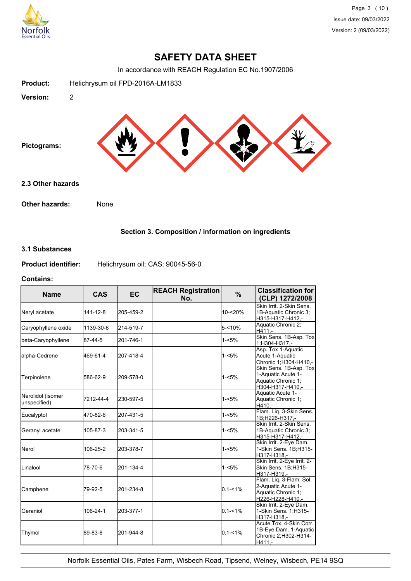

In accordance with REACH Regulation EC No.1907/2006



## **Section 3. Composition / information on ingredients**

### **3.1 Substances**

**Product identifier:** Helichrysum oil; CAS: 90045-56-0

#### **Contains:**

| <b>Name</b>                       | <b>CAS</b> | <b>EC</b> | <b>REACH Registration</b><br>No. | $\%$        | <b>Classification for</b><br>(CLP) 1272/2008                                            |
|-----------------------------------|------------|-----------|----------------------------------|-------------|-----------------------------------------------------------------------------------------|
| Neryl acetate                     | 141-12-8   | 205-459-2 |                                  | 10-<20%     | Skin Irrit, 2-Skin Sens.<br>1B-Aquatic Chronic 3;<br>H315-H317-H412,-                   |
| Caryophyllene oxide               | 1139-30-6  | 214-519-7 |                                  | $5 - 10%$   | Aquatic Chronic 2;<br>H411.-                                                            |
| beta-Caryophyllene                | 87-44-5    | 201-746-1 |                                  | $1 - 5%$    | Skin Sens. 1B-Asp. Tox<br>1;H304-H317,-                                                 |
| alpha-Cedrene                     | 469-61-4   | 207-418-4 |                                  | $1 - 5%$    | Asp. Tox 1-Aquatic<br>Acute 1-Aquatic<br>Chronic 1;H304-H410,-                          |
| Terpinolene                       | 586-62-9   | 209-578-0 |                                  | $1 - 5%$    | Skin Sens. 1B-Asp. Tox<br>1-Aquatic Acute 1-<br>Aquatic Chronic 1:<br>H304-H317-H410.-  |
| Nerolidol (isomer<br>unspecified) | 7212-44-4  | 230-597-5 |                                  | $1 - 5%$    | Aquatic Acute 1-<br>Aquatic Chronic 1;<br>H410.-                                        |
| Eucalyptol                        | 470-82-6   | 207-431-5 |                                  | $1 - 5%$    | Flam. Liq. 3-Skin Sens.<br>1B;H226-H317,-                                               |
| Geranyl acetate                   | 105-87-3   | 203-341-5 |                                  | $1 - 5%$    | Skin Irrit. 2-Skin Sens.<br>1B-Aquatic Chronic 3:<br>H315-H317-H412,-                   |
| <b>Nerol</b>                      | 106-25-2   | 203-378-7 |                                  | $1 - 5%$    | Skin Irrit. 2-Eye Dam.<br>1-Skin Sens. 1B;H315-<br>H317-H318.-                          |
| ILinalool                         | 78-70-6    | 201-134-4 |                                  | $1 - 5%$    | Skin Irrit. 2-Eye Irrit. 2-<br>Skin Sens. 1B;H315-<br>H317-H319,-                       |
| Camphene                          | 79-92-5    | 201-234-8 |                                  | $0.1 - 1%$  | Flam. Lig. 3-Flam. Sol.<br>2-Aquatic Acute 1-<br>Aquatic Chronic 1:<br>H226-H228-H410,- |
| lGeraniol                         | 106-24-1   | 203-377-1 |                                  | $0.1 - 1%$  | Skin Irrit. 2-Eye Dam.<br>1-Skin Sens. 1; H315-<br>H317-H318,-                          |
| Thymol                            | 89-83-8    | 201-944-8 |                                  | $0.1 - 1\%$ | Acute Tox. 4-Skin Corr.<br>1B-Eye Dam. 1-Aquatic<br>Chronic 2;H302-H314-<br>H411,-      |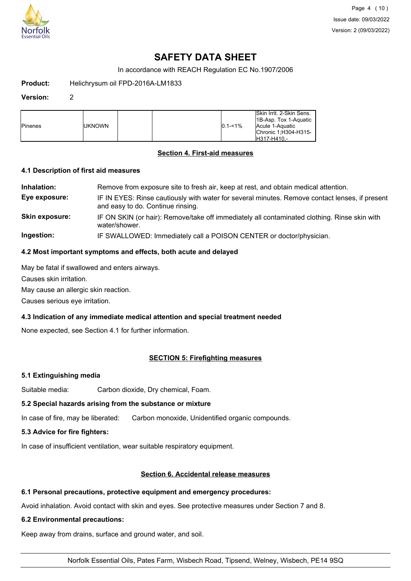

In accordance with REACH Regulation EC No.1907/2006

**Product:** Helichrysum oil FPD-2016A-LM1833

#### **Version:** 2

| <b>I</b> Pinenes | iuknown |  |  | $0.1 - 1\%$ | Skin Irrit, 2-Skin Sens.<br>18-Asp. Tox 1-Aquatic<br>Acute 1-Aquatic<br>Chronic 1:H304-H315-<br>H317-H410.- |
|------------------|---------|--|--|-------------|-------------------------------------------------------------------------------------------------------------|
|------------------|---------|--|--|-------------|-------------------------------------------------------------------------------------------------------------|

### **Section 4. First-aid measures**

#### **4.1 Description of first aid measures**

**Inhalation:** Remove from exposure site to fresh air, keep at rest, and obtain medical attention. **Eye exposure:** IF IN EYES: Rinse cautiously with water for several minutes. Remove contact lenses, if present and easy to do. Continue rinsing. **Skin exposure:** IF ON SKIN (or hair): Remove/take off immediately all contaminated clothing. Rinse skin with water/shower.

**Ingestion:** IF SWALLOWED: Immediately call a POISON CENTER or doctor/physician.

### **4.2 Most important symptoms and effects, both acute and delayed**

May be fatal if swallowed and enters airways.

Causes skin irritation.

May cause an allergic skin reaction.

Causes serious eye irritation.

# **4.3 Indication of any immediate medical attention and special treatment needed**

None expected, see Section 4.1 for further information.

# **SECTION 5: Firefighting measures**

# **5.1 Extinguishing media**

Suitable media: Carbon dioxide, Dry chemical, Foam.

# **5.2 Special hazards arising from the substance or mixture**

In case of fire, may be liberated: Carbon monoxide, Unidentified organic compounds.

# **5.3 Advice for fire fighters:**

In case of insufficient ventilation, wear suitable respiratory equipment.

# **Section 6. Accidental release measures**

# **6.1 Personal precautions, protective equipment and emergency procedures:**

Avoid inhalation. Avoid contact with skin and eyes. See protective measures under Section 7 and 8.

# **6.2 Environmental precautions:**

Keep away from drains, surface and ground water, and soil.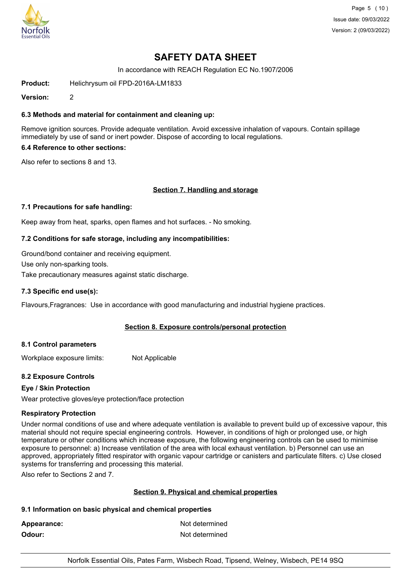

Page 5 (10) Issue date: 09/03/2022 Version: 2 (09/03/2022)

# **SAFETY DATA SHEET**

In accordance with REACH Regulation EC No.1907/2006

**Product:** Helichrysum oil FPD-2016A-LM1833

**Version:** 2

### **6.3 Methods and material for containment and cleaning up:**

Remove ignition sources. Provide adequate ventilation. Avoid excessive inhalation of vapours. Contain spillage immediately by use of sand or inert powder. Dispose of according to local regulations.

### **6.4 Reference to other sections:**

Also refer to sections 8 and 13.

### **Section 7. Handling and storage**

#### **7.1 Precautions for safe handling:**

Keep away from heat, sparks, open flames and hot surfaces. - No smoking.

#### **7.2 Conditions for safe storage, including any incompatibilities:**

Ground/bond container and receiving equipment.

Use only non-sparking tools.

Take precautionary measures against static discharge.

#### **7.3 Specific end use(s):**

Flavours,Fragrances: Use in accordance with good manufacturing and industrial hygiene practices.

### **Section 8. Exposure controls/personal protection**

### **8.1 Control parameters**

Workplace exposure limits: Not Applicable

### **8.2 Exposure Controls**

### **Eye / Skin Protection**

Wear protective gloves/eye protection/face protection

#### **Respiratory Protection**

Under normal conditions of use and where adequate ventilation is available to prevent build up of excessive vapour, this material should not require special engineering controls. However, in conditions of high or prolonged use, or high temperature or other conditions which increase exposure, the following engineering controls can be used to minimise exposure to personnel: a) Increase ventilation of the area with local exhaust ventilation. b) Personnel can use an approved, appropriately fitted respirator with organic vapour cartridge or canisters and particulate filters. c) Use closed systems for transferring and processing this material.

Also refer to Sections 2 and 7.

### **Section 9. Physical and chemical properties**

#### **9.1 Information on basic physical and chemical properties**

Appearance: Not determined **Odour:** Not determined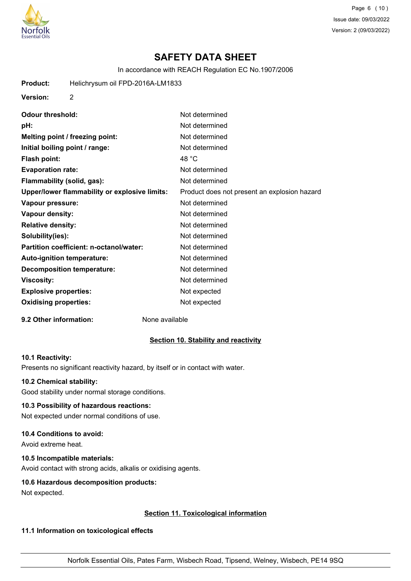

Page 6 (10) Issue date: 09/03/2022 Version: 2 (09/03/2022)

# **SAFETY DATA SHEET**

In accordance with REACH Regulation EC No.1907/2006

**Product:** Helichrysum oil FPD-2016A-LM1833

**Version:** 2

| <b>Odour threshold:</b>                       | Not determined                               |
|-----------------------------------------------|----------------------------------------------|
| pH:                                           | Not determined                               |
| Melting point / freezing point:               | Not determined                               |
| Initial boiling point / range:                | Not determined                               |
| <b>Flash point:</b>                           | 48 °C                                        |
| <b>Evaporation rate:</b>                      | Not determined                               |
| Flammability (solid, gas):                    | Not determined                               |
| Upper/lower flammability or explosive limits: | Product does not present an explosion hazard |
| Vapour pressure:                              | Not determined                               |
| Vapour density:                               | Not determined                               |
| <b>Relative density:</b>                      | Not determined                               |
| Solubility(ies):                              | Not determined                               |
| Partition coefficient: n-octanol/water:       | Not determined                               |
| Auto-ignition temperature:                    | Not determined                               |
| <b>Decomposition temperature:</b>             | Not determined                               |
| Viscosity:                                    | Not determined                               |
| <b>Explosive properties:</b>                  | Not expected                                 |
| <b>Oxidising properties:</b>                  | Not expected                                 |

**9.2 Other information:** None available

#### **Section 10. Stability and reactivity**

#### **10.1 Reactivity:**

Presents no significant reactivity hazard, by itself or in contact with water.

#### **10.2 Chemical stability:**

Good stability under normal storage conditions.

#### **10.3 Possibility of hazardous reactions:**

Not expected under normal conditions of use.

#### **10.4 Conditions to avoid:**

Avoid extreme heat.

## **10.5 Incompatible materials:**

Avoid contact with strong acids, alkalis or oxidising agents.

#### **10.6 Hazardous decomposition products:**

Not expected.

#### **Section 11. Toxicological information**

#### **11.1 Information on toxicological effects**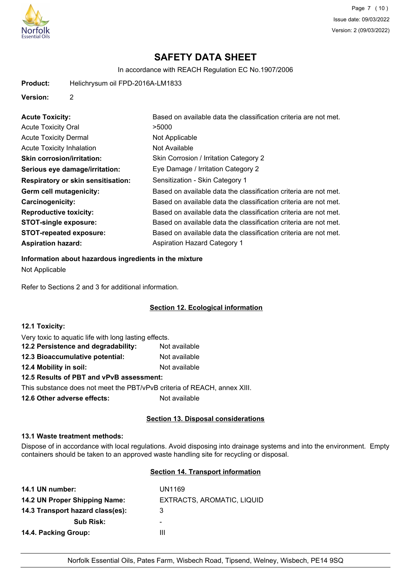

In accordance with REACH Regulation EC No.1907/2006

**Product:** Helichrysum oil FPD-2016A-LM1833

#### **Version:** 2

| <b>Acute Toxicity:</b>                    | Based on available data the classification criteria are not met. |
|-------------------------------------------|------------------------------------------------------------------|
| <b>Acute Toxicity Oral</b>                | >5000                                                            |
| <b>Acute Toxicity Dermal</b>              | Not Applicable                                                   |
| <b>Acute Toxicity Inhalation</b>          | Not Available                                                    |
| <b>Skin corrosion/irritation:</b>         | Skin Corrosion / Irritation Category 2                           |
| Serious eye damage/irritation:            | Eye Damage / Irritation Category 2                               |
| <b>Respiratory or skin sensitisation:</b> | Sensitization - Skin Category 1                                  |
| Germ cell mutagenicity:                   | Based on available data the classification criteria are not met. |
| <b>Carcinogenicity:</b>                   | Based on available data the classification criteria are not met. |
| <b>Reproductive toxicity:</b>             | Based on available data the classification criteria are not met. |
| <b>STOT-single exposure:</b>              | Based on available data the classification criteria are not met. |
| <b>STOT-repeated exposure:</b>            | Based on available data the classification criteria are not met. |
| <b>Aspiration hazard:</b>                 | <b>Aspiration Hazard Category 1</b>                              |

# **Information about hazardous ingredients in the mixture**

Not Applicable

Refer to Sections 2 and 3 for additional information.

## **Section 12. Ecological information**

| 12.1 Toxicity:                                                           |               |
|--------------------------------------------------------------------------|---------------|
| Very toxic to aquatic life with long lasting effects.                    |               |
| 12.2 Persistence and degradability:                                      | Not available |
| 12.3 Bioaccumulative potential:                                          | Not available |
| 12.4 Mobility in soil:                                                   | Not available |
| 12.5 Results of PBT and vPvB assessment:                                 |               |
| This substance does not meet the PBT/vPvB criteria of REACH, annex XIII. |               |
| 12.6 Other adverse effects:                                              | Not available |

### **Section 13. Disposal considerations**

### **13.1 Waste treatment methods:**

Dispose of in accordance with local regulations. Avoid disposing into drainage systems and into the environment. Empty containers should be taken to an approved waste handling site for recycling or disposal.

### **Section 14. Transport information**

| 14.1 UN number:                  | UN1169                     |
|----------------------------------|----------------------------|
| 14.2 UN Proper Shipping Name:    | EXTRACTS, AROMATIC, LIQUID |
| 14.3 Transport hazard class(es): | 3                          |
| <b>Sub Risk:</b>                 | -                          |
| 14.4. Packing Group:             | Ш                          |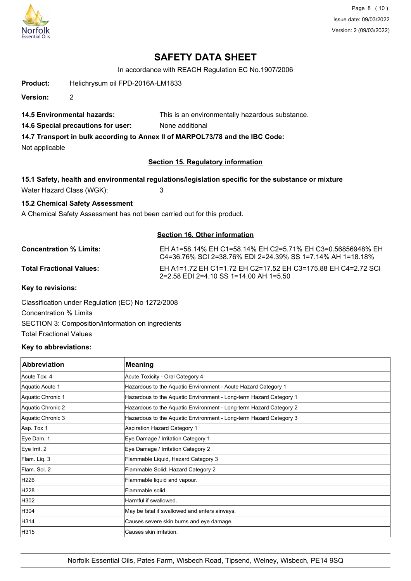

Page 8 (10) Issue date: 09/03/2022 Version: 2 (09/03/2022)

# **SAFETY DATA SHEET**

In accordance with REACH Regulation EC No.1907/2006

**Product:** Helichrysum oil FPD-2016A-LM1833

**Version:** 2

**14.5 Environmental hazards:** This is an environmentally hazardous substance.

**14.6 Special precautions for user:** None additional

**14.7 Transport in bulk according to Annex II of MARPOL73/78 and the IBC Code:**

Not applicable

### **Section 15. Regulatory information**

### **15.1 Safety, health and environmental regulations/legislation specific for the substance or mixture**

Water Hazard Class (WGK): 3

### **15.2 Chemical Safety Assessment**

A Chemical Safety Assessment has not been carried out for this product.

### **Section 16. Other information**

**Concentration % Limits:** EH A1=58.14% EH C1=58.14% EH C2=5.71% EH C3=0.56856948% EH C4=36.76% SCI 2=38.76% EDI 2=24.39% SS 1=7.14% AH 1=18.18% **Total Fractional Values:** EH A1=1.72 EH C1=1.72 EH C2=17.52 EH C3=175.88 EH C4=2.72 SCI 2=2.58 EDI 2=4.10 SS 1=14.00 AH 1=5.50

**Key to revisions:**

Classification under Regulation (EC) No 1272/2008 Concentration % Limits SECTION 3: Composition/information on ingredients Total Fractional Values

### **Key to abbreviations:**

| <b>Abbreviation</b> | <b>Meaning</b>                                                     |
|---------------------|--------------------------------------------------------------------|
| Acute Tox, 4        | Acute Toxicity - Oral Category 4                                   |
| Aquatic Acute 1     | Hazardous to the Aquatic Environment - Acute Hazard Category 1     |
| Aquatic Chronic 1   | Hazardous to the Aquatic Environment - Long-term Hazard Category 1 |
| Aquatic Chronic 2   | Hazardous to the Aquatic Environment - Long-term Hazard Category 2 |
| Aquatic Chronic 3   | Hazardous to the Aquatic Environment - Long-term Hazard Category 3 |
| Asp. Tox 1          | Aspiration Hazard Category 1                                       |
| Eye Dam. 1          | Eye Damage / Irritation Category 1                                 |
| Eye Irrit. 2        | Eye Damage / Irritation Category 2                                 |
| Flam. Liq. 3        | Flammable Liquid, Hazard Category 3                                |
| Flam, Sol. 2        | Flammable Solid, Hazard Category 2                                 |
| H226                | Flammable liquid and vapour.                                       |
| H228                | lFlammable solid.                                                  |
| H302                | Harmful if swallowed.                                              |
| H304                | May be fatal if swallowed and enters airways.                      |
| H314                | Causes severe skin burns and eye damage.                           |
| H315                | lCauses skin irritation.                                           |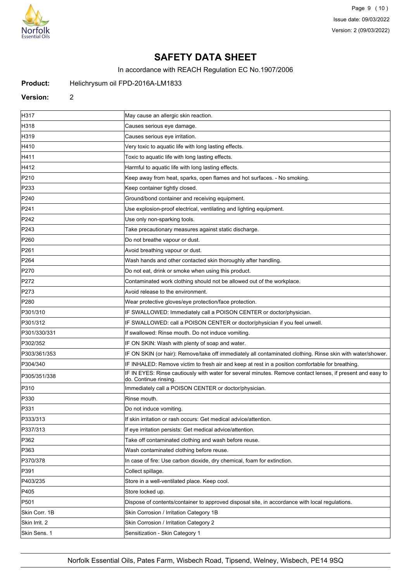

Page 9 (10) Issue date: 09/03/2022 Version: 2 (09/03/2022)

# **SAFETY DATA SHEET**

In accordance with REACH Regulation EC No.1907/2006

#### **Product:** Helichrysum oil FPD-2016A-LM1833

#### **Version:** 2

H317 May cause an allergic skin reaction. H318 Causes serious eye damage. H319 Causes serious eye irritation. H410 **Example 20** Very toxic to aquatic life with long lasting effects. H411 Toxic to aquatic life with long lasting effects. H412 **Harmful to aquatic life with long lasting effects.** P210 **Keep away from heat, sparks, open flames and hot surfaces.** - No smoking. P233 **Keep container tightly closed.** Keep container tightly closed. P240 **Ground/bond container and receiving equipment.** P241 Use explosion-proof electrical, ventilating and lighting equipment. P242 **Disember 19 Use only non-sparking tools.** P243 **Take precautionary measures against static discharge.** P260 **Do not breathe vapour or dust.** P261 **P261 Avoid breathing vapour or dust.** P264 Wash hands and other contacted skin thoroughly after handling. P270 **Do not eat, drink or smoke when using this product.** P272 **Contaminated work clothing should not be allowed out of the workplace.** P273 Avoid release to the environment. P280 Wear protective gloves/eye protection/face protection. P301/310 **IF SWALLOWED:** Immediately call a POISON CENTER or doctor/physician. P301/312 **IF SWALLOWED: call a POISON CENTER or doctor/physician if you feel unwell.** P301/330/331 **If swallowed: Rinse mouth. Do not induce vomiting** P302/352 **IF ON SKIN: Wash with plenty of soap and water.** P303/361/353 **IF ON SKIN (or hair): Remove/take off immediately all contaminated clothing. Rinse skin with water/shower.** P304/340 **IF INHALED: Remove victim to fresh air and keep at rest in a position comfortable for breathing.** P305/351/338 **IF IN EYES: Rinse cautiously with water for several minutes. Remove contact lenses, if present and easy to** do. Continue rinsing. P310 **Immediately call a POISON CENTER or doctor/physician.** P330 Rinse mouth. P331 Do not induce vomiting. P333/313 If skin irritation or rash occurs: Get medical advice/attention. P337/313 If eye irritation persists: Get medical advice/attention. P362 **Take off contaminated clothing and wash before reuse.** P363 Wash contaminated clothing before reuse.  $\vert$ P370/378 **In case of fire: Use carbon dioxide, dry chemical, foam for extinction.** P391 Collect spillage. P403/235 Store in a well-ventilated place. Keep cool. **P405** Store locked up. P501 Dispose of contents/container to approved disposal site, in accordance with local regulations. Skin Corr. 1B Skin Corrosion / Irritation Category 1B Skin Irrit. 2 Skin Corrosion / Irritation Category 2 Skin Sens. 1 Sensitization - Skin Category 1